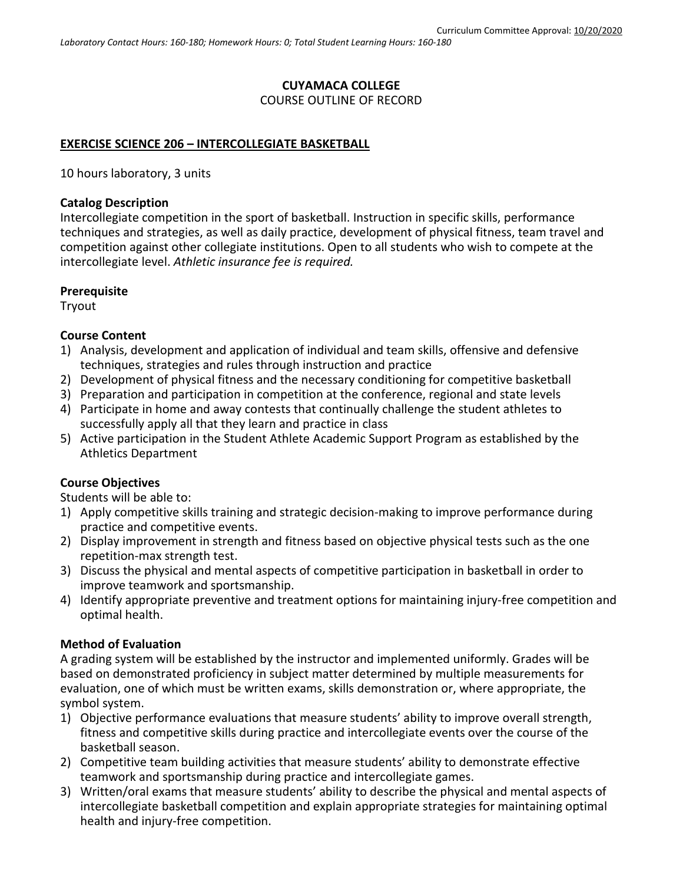#### **CUYAMACA COLLEGE** COURSE OUTLINE OF RECORD

### **EXERCISE SCIENCE 206 – INTERCOLLEGIATE BASKETBALL**

10 hours laboratory, 3 units

#### **Catalog Description**

Intercollegiate competition in the sport of basketball. Instruction in specific skills, performance techniques and strategies, as well as daily practice, development of physical fitness, team travel and competition against other collegiate institutions. Open to all students who wish to compete at the intercollegiate level. *Athletic insurance fee is required.*

#### **Prerequisite**

Tryout

#### **Course Content**

- 1) Analysis, development and application of individual and team skills, offensive and defensive techniques, strategies and rules through instruction and practice
- 2) Development of physical fitness and the necessary conditioning for competitive basketball
- 3) Preparation and participation in competition at the conference, regional and state levels
- 4) Participate in home and away contests that continually challenge the student athletes to successfully apply all that they learn and practice in class
- 5) Active participation in the Student Athlete Academic Support Program as established by the Athletics Department

#### **Course Objectives**

Students will be able to:

- 1) Apply competitive skills training and strategic decision-making to improve performance during practice and competitive events.
- 2) Display improvement in strength and fitness based on objective physical tests such as the one repetition-max strength test.
- 3) Discuss the physical and mental aspects of competitive participation in basketball in order to improve teamwork and sportsmanship.
- 4) Identify appropriate preventive and treatment options for maintaining injury-free competition and optimal health.

### **Method of Evaluation**

A grading system will be established by the instructor and implemented uniformly. Grades will be based on demonstrated proficiency in subject matter determined by multiple measurements for evaluation, one of which must be written exams, skills demonstration or, where appropriate, the symbol system.

- 1) Objective performance evaluations that measure students' ability to improve overall strength, fitness and competitive skills during practice and intercollegiate events over the course of the basketball season.
- 2) Competitive team building activities that measure students' ability to demonstrate effective teamwork and sportsmanship during practice and intercollegiate games.
- 3) Written/oral exams that measure students' ability to describe the physical and mental aspects of intercollegiate basketball competition and explain appropriate strategies for maintaining optimal health and injury-free competition.